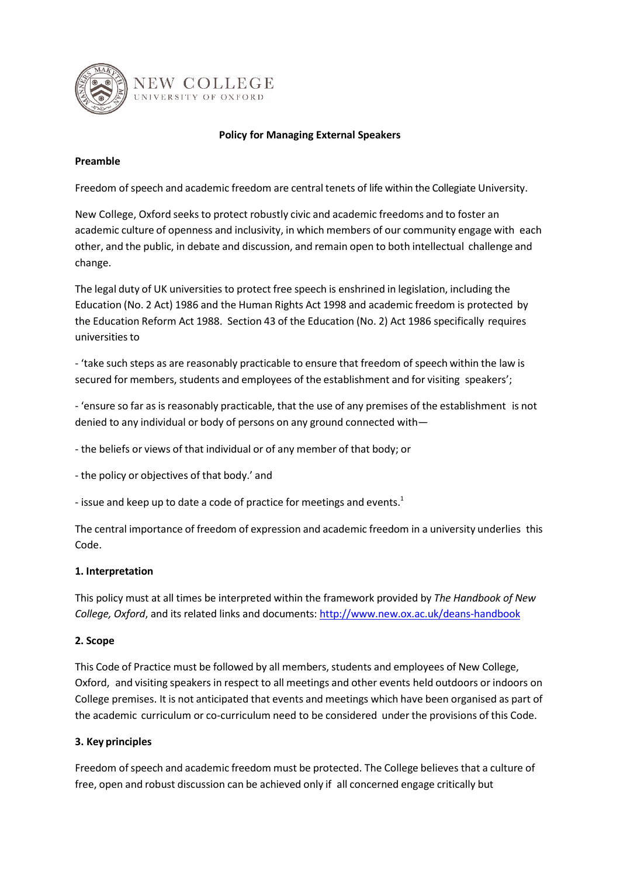

#### **Policy for Managing External Speakers**

#### **Preamble**

Freedom of speech and academic freedom are central tenets of life within the Collegiate University.

New College, Oxford seeks to protect robustly civic and academic freedoms and to foster an academic culture of openness and inclusivity, in which members of our community engage with each other, and the public, in debate and discussion, and remain open to both intellectual challenge and change.

The legal duty of UK universities to protect free speech is enshrined in legislation, including the Education (No. 2 Act) 1986 and the Human Rights Act 1998 and academic freedom is protected by the Education Reform Act 1988. Section 43 of the Education (No. 2) Act 1986 specifically requires universitiesto

- 'take such steps as are reasonably practicable to ensure that freedom ofspeech within the law is secured for members, students and employees of the establishment and for visiting speakers';

- 'ensure so far as is reasonably practicable, that the use of any premises of the establishment is not denied to any individual or body of persons on any ground connected with—

- the beliefs or views of that individual or of any member of that body; or

- the policy or objectives of that body.' and

- issue and keep up to date a code of practice for meetings and events.<sup>1</sup>

The central importance of freedom of expression and academic freedom in a university underlies this Code.

#### **1. Interpretation**

This policy must at all times be interpreted within the framework provided by *The Handbook of New College, Oxford*, and its related links and documents: <http://www.new.ox.ac.uk/deans-handbook>

#### **2. Scope**

This Code of Practice must be followed by all members, students and employees of New College, Oxford, and visiting speakers in respect to all meetings and other events held outdoors or indoors on College premises. It is not anticipated that events and meetings which have been organised as part of the academic curriculum or co-curriculum need to be considered under the provisions of this Code.

#### **3. Key principles**

Freedom ofspeech and academic freedom must be protected. The College believes that a culture of free, open and robust discussion can be achieved only if all concerned engage critically but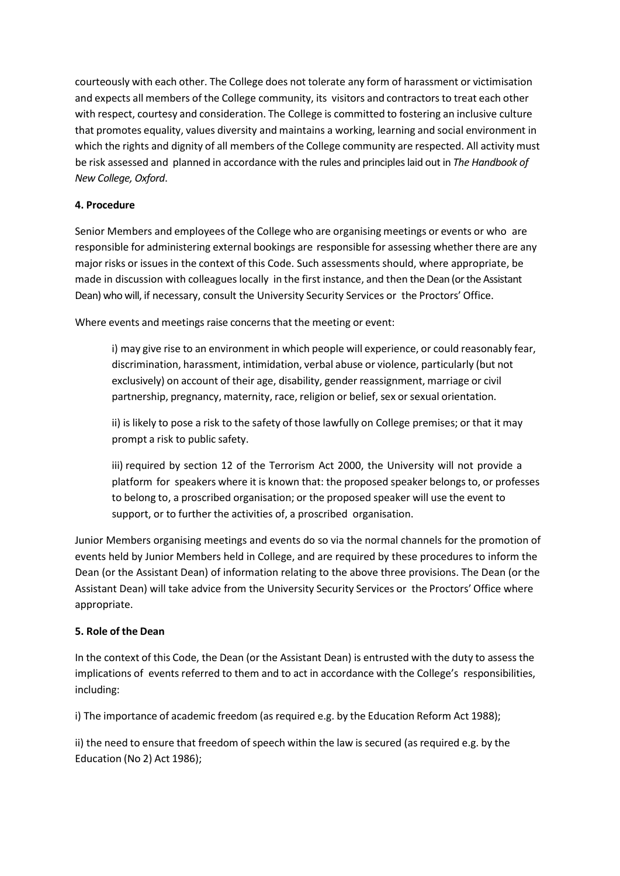courteously with each other. The College does not tolerate any form of harassment or victimisation and expects all members of the College community, its visitors and contractors to treat each other with respect, courtesy and consideration. The College is committed to fostering an inclusive culture that promotes equality, values diversity and maintains a working, learning and social environment in which the rights and dignity of all members of the College community are respected. All activity must be risk assessed and planned in accordance with the rules and principles laid out in *The Handbook of New College, Oxford*.

### **4. Procedure**

Senior Members and employees of the College who are organising meetings or events or who are responsible for administering external bookings are responsible for assessing whether there are any major risks or issues in the context of this Code. Such assessments should, where appropriate, be made in discussion with colleagues locally in the first instance, and then the Dean (or the Assistant Dean) who will, if necessary, consult the University Security Services or the Proctors' Office.

Where events and meetings raise concerns that the meeting or event:

i) may give rise to an environment in which people will experience, or could reasonably fear, discrimination, harassment, intimidation, verbal abuse or violence, particularly (but not exclusively) on account of their age, disability, gender reassignment, marriage or civil partnership, pregnancy, maternity, race, religion or belief, sex orsexual orientation.

ii) is likely to pose a risk to the safety of those lawfully on College premises; or that it may prompt a risk to public safety.

iii) required by section 12 of the Terrorism Act 2000, the University will not provide a platform for speakers where it is known that: the proposed speaker belongs to, or professes to belong to, a proscribed organisation; or the proposed speaker will use the event to support, or to further the activities of, a proscribed organisation.

Junior Members organising meetings and events do so via the normal channels for the promotion of events held by Junior Members held in College, and are required by these procedures to inform the Dean (or the Assistant Dean) of information relating to the above three provisions. The Dean (or the Assistant Dean) will take advice from the University Security Services or the Proctors' Office where appropriate.

#### **5. Role of the Dean**

In the context of this Code, the Dean (or the Assistant Dean) is entrusted with the duty to assess the implications of events referred to them and to act in accordance with the College's responsibilities, including:

i) The importance of academic freedom (as required e.g. by the Education Reform Act 1988);

ii) the need to ensure that freedom of speech within the law is secured (as required e.g. by the Education (No 2) Act 1986);